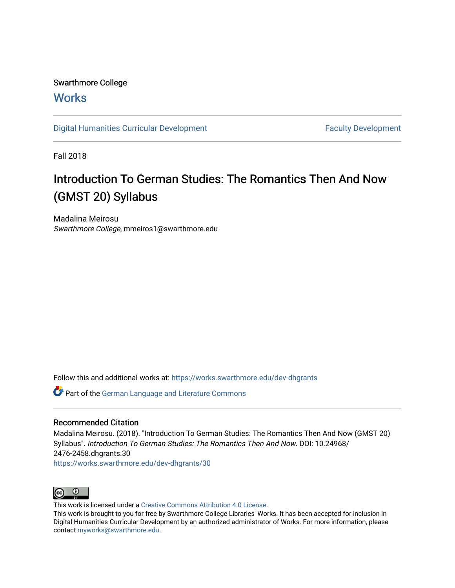# Swarthmore College

## **Works**

[Digital Humanities Curricular Development](https://works.swarthmore.edu/dev-dhgrants) **Faculty Development** Faculty Development

Fall 2018

# Introduction To German Studies: The Romantics Then And Now (GMST 20) Syllabus

Madalina Meirosu Swarthmore College, mmeiros1@swarthmore.edu

Follow this and additional works at: [https://works.swarthmore.edu/dev-dhgrants](https://works.swarthmore.edu/dev-dhgrants?utm_source=works.swarthmore.edu%2Fdev-dhgrants%2F30&utm_medium=PDF&utm_campaign=PDFCoverPages)

**C** Part of the [German Language and Literature Commons](http://network.bepress.com/hgg/discipline/467?utm_source=works.swarthmore.edu%2Fdev-dhgrants%2F30&utm_medium=PDF&utm_campaign=PDFCoverPages)

## Recommended Citation

Madalina Meirosu. (2018). "Introduction To German Studies: The Romantics Then And Now (GMST 20) Syllabus". Introduction To German Studies: The Romantics Then And Now. DOI: 10.24968/ 2476-2458.dhgrants.30

<https://works.swarthmore.edu/dev-dhgrants/30>



This work is licensed under a [Creative Commons Attribution 4.0 License](https://creativecommons.org/licenses/by/4.0/).

This work is brought to you for free by Swarthmore College Libraries' Works. It has been accepted for inclusion in Digital Humanities Curricular Development by an authorized administrator of Works. For more information, please contact [myworks@swarthmore.edu](mailto:myworks@swarthmore.edu).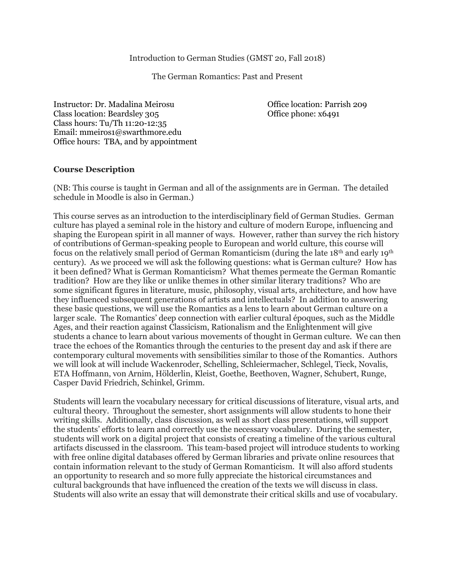## Introduction to German Studies (GMST 20, Fall 2018)

The German Romantics: Past and Present

Instructor: Dr. Madalina Meirosu Office location: Parrish 209 Class location: Beardsley 305 Office phone: x6491 Class hours: Tu/Th 11:20-12:35 Email: mmeiros1@swarthmore.edu Office hours: TBA, and by appointment

## **Course Description**

(NB: This course is taught in German and all of the assignments are in German. The detailed schedule in Moodle is also in German.)

This course serves as an introduction to the interdisciplinary field of German Studies. German culture has played a seminal role in the history and culture of modern Europe, influencing and shaping the European spirit in all manner of ways. However, rather than survey the rich history of contributions of German-speaking people to European and world culture, this course will focus on the relatively small period of German Romanticism (during the late 18th and early 19th century). As we proceed we will ask the following questions: what is German culture? How has it been defined? What is German Romanticism? What themes permeate the German Romantic tradition? How are they like or unlike themes in other similar literary traditions? Who are some significant figures in literature, music, philosophy, visual arts, architecture, and how have they influenced subsequent generations of artists and intellectuals? In addition to answering these basic questions, we will use the Romantics as a lens to learn about German culture on a larger scale. The Romantics' deep connection with earlier cultural époques, such as the Middle Ages, and their reaction against Classicism, Rationalism and the Enlightenment will give students a chance to learn about various movements of thought in German culture. We can then trace the echoes of the Romantics through the centuries to the present day and ask if there are contemporary cultural movements with sensibilities similar to those of the Romantics. Authors we will look at will include Wackenroder, Schelling, Schleiermacher, Schlegel, Tieck, Novalis, ETA Hoffmann, von Arnim, Hölderlin, Kleist, Goethe, Beethoven, Wagner, Schubert, Runge, Casper David Friedrich, Schinkel, Grimm.

Students will learn the vocabulary necessary for critical discussions of literature, visual arts, and cultural theory. Throughout the semester, short assignments will allow students to hone their writing skills. Additionally, class discussion, as well as short class presentations, will support the students' efforts to learn and correctly use the necessary vocabulary. During the semester, students will work on a digital project that consists of creating a timeline of the various cultural artifacts discussed in the classroom. This team-based project will introduce students to working with free online digital databases offered by German libraries and private online resources that contain information relevant to the study of German Romanticism. It will also afford students an opportunity to research and so more fully appreciate the historical circumstances and cultural backgrounds that have influenced the creation of the texts we will discuss in class. Students will also write an essay that will demonstrate their critical skills and use of vocabulary.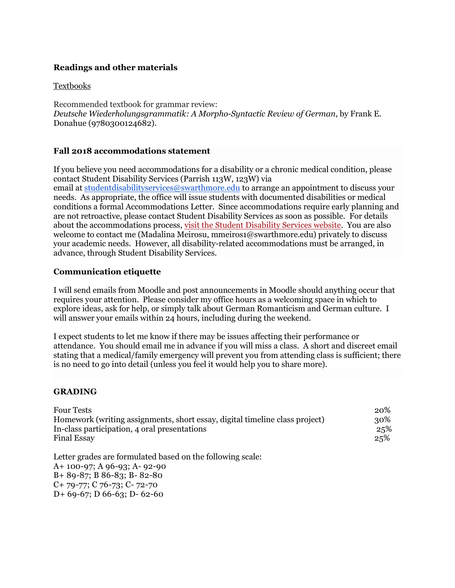## **Readings and other materials**

## Textbooks

Recommended textbook for grammar review: *Deutsche Wiederholungsgrammatik: A Morpho-Syntactic Review of German*, by Frank E. Donahue (9780300124682).

## **Fall 2018 accommodations statement**

If you believe you need accommodations for a disability or a chronic medical condition, please contact Student Disability Services (Parrish 113W, 123W) via email at [studentdisabilityservices@swarthmore.edu](mailto:studentdisabilityservices@swarthmore.edu) to arrange an appointment to discuss your needs. As appropriate, the office will issue students with documented disabilities or medical conditions a formal Accommodations Letter. Since accommodations require early planning and

are not retroactive, please contact Student Disability Services as soon as possible. For details about the accommodations process, [visit the Student Disability Services website.](http://www.swarthmore.edu/academic-advising-support/welcome-to-student-disability-service) You are also welcome to contact me (Madalina Meirosu, mmeiros1@swarthmore.edu) privately to discuss your academic needs. However, all disability-related accommodations must be arranged, in advance, through Student Disability Services.

## **Communication etiquette**

I will send emails from Moodle and post announcements in Moodle should anything occur that requires your attention. Please consider my office hours as a welcoming space in which to explore ideas, ask for help, or simply talk about German Romanticism and German culture. I will answer your emails within 24 hours, including during the weekend.

I expect students to let me know if there may be issues affecting their performance or attendance. You should email me in advance if you will miss a class. A short and discreet email stating that a medical/family emergency will prevent you from attending class is sufficient; there is no need to go into detail (unless you feel it would help you to share more).

## **GRADING**

| <b>Four Tests</b>                                                           | 20% |
|-----------------------------------------------------------------------------|-----|
| Homework (writing assignments, short essay, digital timeline class project) | 30% |
| In-class participation, 4 oral presentations                                | 25% |
| <b>Final Essay</b>                                                          | 25% |
| Letter grades are formulated based on the following scale:                  |     |
| A+ 100-97; A 96-93; A- 92-90                                                |     |
| $B+89-87$ ; B 86-83; B-82-80                                                |     |
| $C+79-77$ ; $C76-73$ ; $C-72-70$                                            |     |
| $D+69-67$ ; $D66-63$ ; $D-62-60$                                            |     |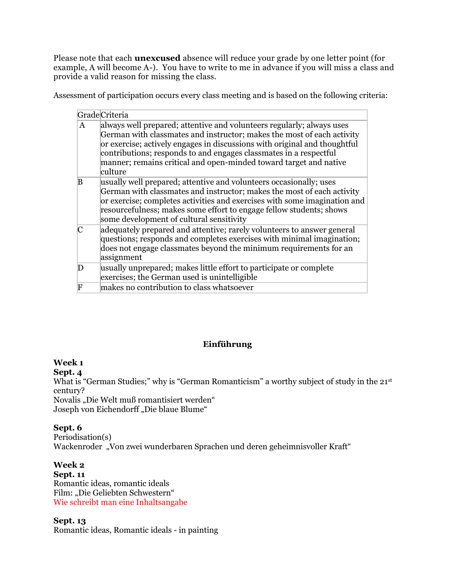Please note that each **unexcused** absence will reduce your grade by one letter point (for example, A will become A-). You have to write to me in advance if you will miss a class and provide a valid reason for missing the class.

Assessment of participation occurs every class meeting and is based on the following criteria:

|              | <b>Grade</b> Criteria                                                                                                                                                                                                                                                                                                                                                             |
|--------------|-----------------------------------------------------------------------------------------------------------------------------------------------------------------------------------------------------------------------------------------------------------------------------------------------------------------------------------------------------------------------------------|
| A            | always well prepared; attentive and volunteers regularly; always uses<br>German with classmates and instructor; makes the most of each activity<br>or exercise; actively engages in discussions with original and thoughtful<br>contributions; responds to and engages classmates in a respectful<br>manner; remains critical and open-minded toward target and native<br>culture |
| B            | usually well prepared; attentive and volunteers occasionally; uses<br>German with classmates and instructor; makes the most of each activity<br>or exercise; completes activities and exercises with some imagination and<br>resourcefulness; makes some effort to engage fellow students; shows<br>some development of cultural sensitivity                                      |
| $\mathsf{C}$ | adequately prepared and attentive; rarely volunteers to answer general<br>questions; responds and completes exercises with minimal imagination;<br>does not engage classmates beyond the minimum requirements for an<br>assignment                                                                                                                                                |
| D            | usually unprepared; makes little effort to participate or complete<br>exercises; the German used is unintelligible                                                                                                                                                                                                                                                                |
| F            | makes no contribution to class whatsoever                                                                                                                                                                                                                                                                                                                                         |

## **Einführung**

## **Week 1**

**Sept. 4**

What is "German Studies;" why is "German Romanticism" a worthy subject of study in the 21st century?

Novalis "Die Welt muß romantisiert werden" Joseph von Eichendorff "Die blaue Blume"

## **Sept. 6**

Periodisation(s) Wackenroder "Von zwei wunderbaren Sprachen und deren geheimnisvoller Kraft"

## **Week 2**

**Sept. 11** Romantic ideas, romantic ideals Film: "Die Geliebten Schwestern" Wie schreibt man eine Inhaltsangabe

## **Sept. 13**

Romantic ideas, Romantic ideals - in painting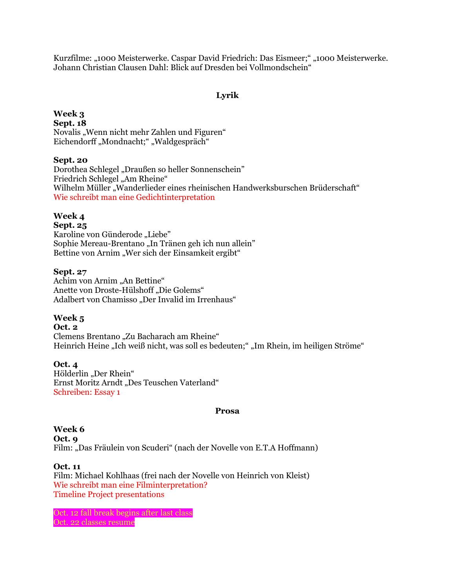Kurzfilme: "1000 Meisterwerke. Caspar David Friedrich: Das Eismeer;" "1000 Meisterwerke. Johann Christian Clausen Dahl: Blick auf Dresden bei Vollmondschein"

## **Lyrik**

## **Week 3 Sept. 18** Novalis "Wenn nicht mehr Zahlen und Figuren" Eichendorff "Mondnacht;" "Waldgespräch"

## **Sept. 20**

Dorothea Schlegel "Draußen so heller Sonnenschein" Friedrich Schlegel "Am Rheine" Wilhelm Müller "Wanderlieder eines rheinischen Handwerksburschen Brüderschaft" Wie schreibt man eine Gedichtinterpretation

## **Week 4**

#### **Sept. 25**

Karoline von Günderode "Liebe" Sophie Mereau-Brentano "In Tränen geh ich nun allein" Bettine von Arnim "Wer sich der Einsamkeit ergibt"

#### **Sept. 27**

Achim von Arnim "An Bettine" Anette von Droste-Hülshoff "Die Golems" Adalbert von Chamisso "Der Invalid im Irrenhaus"

## **Week 5**

## **Oct. 2** Clemens Brentano "Zu Bacharach am Rheine" Heinrich Heine "Ich weiß nicht, was soll es bedeuten;" "Im Rhein, im heiligen Ströme"

**Oct. 4** Hölderlin "Der Rhein" Ernst Moritz Arndt "Des Teuschen Vaterland" Schreiben: Essay 1

#### **Prosa**

#### **Week 6 Oct. 9** Film: "Das Fräulein von Scuderi" (nach der Novelle von E.T.A Hoffmann)

**Oct. 11** Film: Michael Kohlhaas (frei nach der Novelle von Heinrich von Kleist) Wie schreibt man eine Filminterpretation? Timeline Project presentations

Oct. 12 fall break begins after last class Oct. 22 classes resume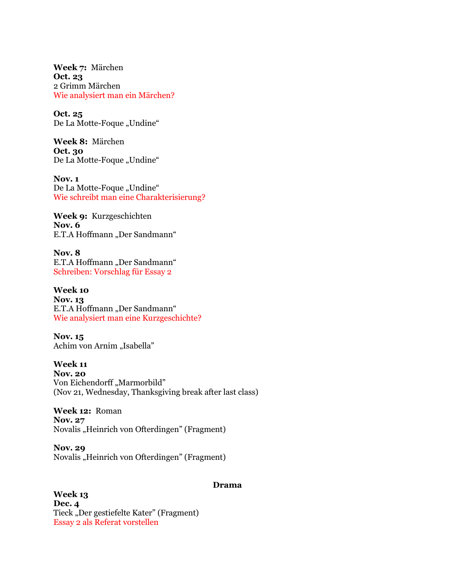**Week 7:** Märchen **Oct. 23** 2 Grimm Märchen Wie analysiert man ein Märchen?

**Oct. 25** De La Motte-Foque "Undine"

**Week 8:** Märchen **Oct. 30** De La Motte-Foque "Undine"

**Nov. 1** De La Motte-Foque "Undine" Wie schreibt man eine Charakterisierung?

**Week 9:** Kurzgeschichten **Nov. 6**  E.T.A Hoffmann "Der Sandmann"

**Nov. 8**  E.T.A Hoffmann "Der Sandmann" Schreiben: Vorschlag für Essay 2

**Week 10 Nov. 13**  E.T.A Hoffmann "Der Sandmann" Wie analysiert man eine Kurzgeschichte?

**Nov. 15**  Achim von Arnim "Isabella"

**Week 11 Nov. 20** Von Eichendorff "Marmorbild" (Nov 21, Wednesday, Thanksgiving break after last class)

**Week 12:** Roman **Nov. 27** Novalis "Heinrich von Ofterdingen" (Fragment)

**Nov. 29** Novalis "Heinrich von Ofterdingen" (Fragment)

#### **Drama**

**Week 13 Dec. 4** Tieck "Der gestiefelte Kater" (Fragment) Essay 2 als Referat vorstellen